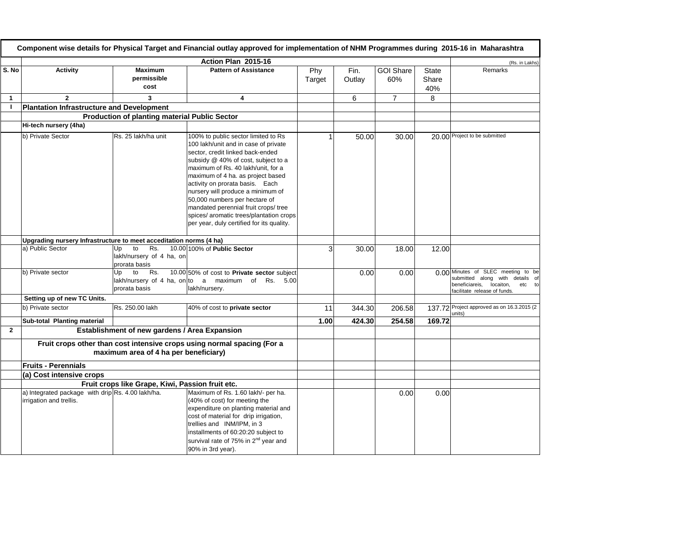|                | Component wise details for Physical Target and Financial outlay approved for implementation of NHM Programmes during 2015-16 in Maharashtra |                                                              |                                                                                                                                                                                                                                                                                                                                                                                                                                                                           |               |                |                         |                              |                                                                                                                                             |  |  |
|----------------|---------------------------------------------------------------------------------------------------------------------------------------------|--------------------------------------------------------------|---------------------------------------------------------------------------------------------------------------------------------------------------------------------------------------------------------------------------------------------------------------------------------------------------------------------------------------------------------------------------------------------------------------------------------------------------------------------------|---------------|----------------|-------------------------|------------------------------|---------------------------------------------------------------------------------------------------------------------------------------------|--|--|
|                |                                                                                                                                             |                                                              | Action Plan 2015-16                                                                                                                                                                                                                                                                                                                                                                                                                                                       |               |                |                         |                              | (Rs. in Lakhs)                                                                                                                              |  |  |
| S. No          | <b>Activity</b>                                                                                                                             | <b>Maximum</b><br>permissible<br>cost                        | <b>Pattern of Assistance</b>                                                                                                                                                                                                                                                                                                                                                                                                                                              | Phy<br>Target | Fin.<br>Outlay | <b>GOI Share</b><br>60% | <b>State</b><br>Share<br>40% | Remarks                                                                                                                                     |  |  |
| $\mathbf{1}$   | $\overline{2}$                                                                                                                              | 3                                                            | 4                                                                                                                                                                                                                                                                                                                                                                                                                                                                         |               | 6              | $\overline{7}$          | 8                            |                                                                                                                                             |  |  |
| $\mathbf{I}$   | <b>Plantation Infrastructure and Development</b>                                                                                            |                                                              |                                                                                                                                                                                                                                                                                                                                                                                                                                                                           |               |                |                         |                              |                                                                                                                                             |  |  |
|                |                                                                                                                                             | <b>Production of planting material Public Sector</b>         |                                                                                                                                                                                                                                                                                                                                                                                                                                                                           |               |                |                         |                              |                                                                                                                                             |  |  |
|                | Hi-tech nursery (4ha)                                                                                                                       |                                                              |                                                                                                                                                                                                                                                                                                                                                                                                                                                                           |               |                |                         |                              |                                                                                                                                             |  |  |
|                | b) Private Sector                                                                                                                           | Rs. 25 lakh/ha unit                                          | 100% to public sector limited to Rs<br>100 lakh/unit and in case of private<br>sector, credit linked back-ended<br>subsidy @ 40% of cost, subject to a<br>maximum of Rs. 40 lakh/unit, for a<br>maximum of 4 ha. as project based<br>activity on prorata basis. Each<br>nursery will produce a minimum of<br>50,000 numbers per hectare of<br>mandated perennial fruit crops/ tree<br>spices/aromatic trees/plantation crops<br>per year, duly certified for its quality. | 1             | 50.00          | 30.00                   |                              | 20.00 Project to be submitted                                                                                                               |  |  |
|                | Upgrading nursery Infrastructure to meet acceditation norms (4 ha)                                                                          |                                                              |                                                                                                                                                                                                                                                                                                                                                                                                                                                                           |               |                |                         |                              |                                                                                                                                             |  |  |
|                | a) Public Sector                                                                                                                            | to<br>Rs.<br>Up<br>lakh/nursery of 4 ha, on<br>prorata basis | 10.00 100% of Public Sector                                                                                                                                                                                                                                                                                                                                                                                                                                               | 3             | 30.00          | 18.00                   | 12.00                        |                                                                                                                                             |  |  |
|                | b) Private sector                                                                                                                           | to<br>Rs.<br>Up<br>prorata basis                             | 10.00 50% of cost to Private sector subject<br>lakh/nursery of 4 ha, on to a maximum of Rs. $5.00$<br>lakh/nursery.                                                                                                                                                                                                                                                                                                                                                       |               | 0.00           | 0.00                    |                              | 0.00 Minutes of SLEC meeting to be<br>submitted along with details of<br>beneficiareis, locaiton,<br>etc to<br>facilitate release of funds. |  |  |
|                | Setting up of new TC Units.                                                                                                                 |                                                              |                                                                                                                                                                                                                                                                                                                                                                                                                                                                           |               |                |                         |                              |                                                                                                                                             |  |  |
|                | b) Private sector                                                                                                                           | Rs. 250.00 lakh                                              | 40% of cost to private sector                                                                                                                                                                                                                                                                                                                                                                                                                                             | 11            | 344.30         | 206.58                  |                              | 137.72 Project approved as on 16.3.2015 (2<br>units)                                                                                        |  |  |
|                | Sub-total Planting material                                                                                                                 |                                                              |                                                                                                                                                                                                                                                                                                                                                                                                                                                                           | 1.00          | 424.30         | 254.58                  | 169.72                       |                                                                                                                                             |  |  |
| $\overline{2}$ |                                                                                                                                             | Establishment of new gardens / Area Expansion                |                                                                                                                                                                                                                                                                                                                                                                                                                                                                           |               |                |                         |                              |                                                                                                                                             |  |  |
|                |                                                                                                                                             | maximum area of 4 ha per beneficiary)                        | Fruit crops other than cost intensive crops using normal spacing (For a                                                                                                                                                                                                                                                                                                                                                                                                   |               |                |                         |                              |                                                                                                                                             |  |  |
|                | <b>Fruits - Perennials</b>                                                                                                                  |                                                              |                                                                                                                                                                                                                                                                                                                                                                                                                                                                           |               |                |                         |                              |                                                                                                                                             |  |  |
|                | (a) Cost intensive crops                                                                                                                    |                                                              |                                                                                                                                                                                                                                                                                                                                                                                                                                                                           |               |                |                         |                              |                                                                                                                                             |  |  |
|                |                                                                                                                                             | Fruit crops like Grape, Kiwi, Passion fruit etc.             |                                                                                                                                                                                                                                                                                                                                                                                                                                                                           |               |                |                         |                              |                                                                                                                                             |  |  |
|                | a) Integrated package with drip Rs. 4.00 lakh/ha.<br>irrigation and trellis.                                                                |                                                              | Maximum of Rs. 1.60 lakh/- per ha.<br>(40% of cost) for meeting the<br>expenditure on planting material and<br>cost of material for drip irrigation,<br>trellies and INM/IPM, in 3<br>installments of 60:20:20 subject to<br>survival rate of 75% in 2 <sup>nd</sup> year and<br>90% in 3rd year).                                                                                                                                                                        |               |                | 0.00                    | 0.00                         |                                                                                                                                             |  |  |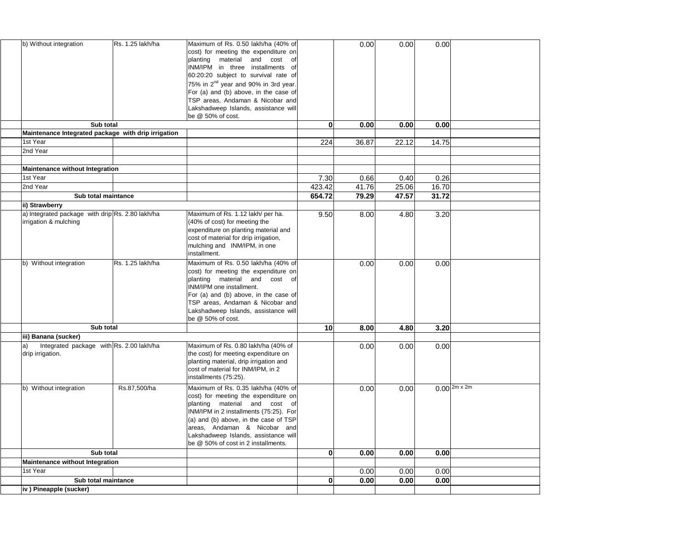| b) Without integration                                                    | Rs. 1.25 lakh/ha | Maximum of Rs. 0.50 lakh/ha (40% of<br>cost) for meeting the expenditure on<br>planting material and cost of<br>INM/IPM in three installments of<br>60:20:20 subject to survival rate of<br>75% in 2 <sup>nd</sup> year and 90% in 3rd year.<br>For (a) and (b) above, in the case of<br>TSP areas, Andaman & Nicobar and<br>Lakshadweep Islands, assistance will<br>be @ 50% of cost. |              | 0.00  | 0.00  | 0.00  |                       |
|---------------------------------------------------------------------------|------------------|----------------------------------------------------------------------------------------------------------------------------------------------------------------------------------------------------------------------------------------------------------------------------------------------------------------------------------------------------------------------------------------|--------------|-------|-------|-------|-----------------------|
| Sub total                                                                 |                  |                                                                                                                                                                                                                                                                                                                                                                                        | $\mathbf{0}$ | 0.00  | 0.00  | 0.00  |                       |
| Maintenance Integrated package with drip irrigation                       |                  |                                                                                                                                                                                                                                                                                                                                                                                        |              |       |       |       |                       |
| 1st Year                                                                  |                  |                                                                                                                                                                                                                                                                                                                                                                                        | 224          | 36.87 | 22.12 | 14.75 |                       |
| 2nd Year                                                                  |                  |                                                                                                                                                                                                                                                                                                                                                                                        |              |       |       |       |                       |
|                                                                           |                  |                                                                                                                                                                                                                                                                                                                                                                                        |              |       |       |       |                       |
| <b>Maintenance without Integration</b>                                    |                  |                                                                                                                                                                                                                                                                                                                                                                                        |              |       |       |       |                       |
| 1st Year                                                                  |                  |                                                                                                                                                                                                                                                                                                                                                                                        | 7.30         | 0.66  | 0.40  | 0.26  |                       |
| 2nd Year                                                                  |                  |                                                                                                                                                                                                                                                                                                                                                                                        | 423.42       | 41.76 | 25.06 | 16.70 |                       |
| Sub total maintance                                                       |                  |                                                                                                                                                                                                                                                                                                                                                                                        | 654.72       | 79.29 | 47.57 | 31.72 |                       |
| ii) Strawberry                                                            |                  |                                                                                                                                                                                                                                                                                                                                                                                        |              |       |       |       |                       |
| a) Integrated package with drip Rs. 2.80 lakh/ha<br>irrigation & mulching |                  | Maximum of Rs. 1.12 lakh/ per ha.<br>(40% of cost) for meeting the<br>expenditure on planting material and<br>cost of material for drip irrigation,<br>mulching and INM/IPM, in one<br>installment.                                                                                                                                                                                    | 9.50         | 8.00  | 4.80  | 3.20  |                       |
| b) Without integration                                                    | Rs. 1.25 lakh/ha | Maximum of Rs. 0.50 lakh/ha (40% of<br>cost) for meeting the expenditure on<br>planting material and cost of<br>INM/IPM one installment.<br>For (a) and (b) above, in the case of<br>TSP areas, Andaman & Nicobar and<br>Lakshadweep Islands, assistance will<br>be @ 50% of cost.                                                                                                     |              | 0.00  | 0.00  | 0.00  |                       |
| Sub total                                                                 |                  |                                                                                                                                                                                                                                                                                                                                                                                        | 10           | 8.00  | 4.80  | 3.20  |                       |
| iii) Banana (sucker)                                                      |                  |                                                                                                                                                                                                                                                                                                                                                                                        |              |       |       |       |                       |
| Integrated package with Rs. 2.00 lakh/ha<br>a)<br>drip irrigation.        |                  | Maximum of Rs. 0.80 lakh/ha (40% of<br>the cost) for meeting expenditure on<br>planting material, drip irrigation and<br>cost of material for INM/IPM, in 2<br>installments (75:25).                                                                                                                                                                                                   |              | 0.00  | 0.00  | 0.00  |                       |
| b) Without integration                                                    | Rs.87,500/ha     | Maximum of Rs. 0.35 lakh/ha (40% of<br>cost) for meeting the expenditure on<br>planting material and cost of<br>INM/IPM in 2 installments (75:25). For<br>(a) and (b) above, in the case of TSP<br>areas, Andaman & Nicobar and<br>Lakshadweep Islands, assistance will<br>be @ 50% of cost in 2 installments.                                                                         |              | 0.00  | 0.00  |       | $0.00^{2m \times 2m}$ |
| Sub total                                                                 |                  |                                                                                                                                                                                                                                                                                                                                                                                        | $\mathbf{0}$ | 0.00  | 0.00  | 0.00  |                       |
| Maintenance without Integration                                           |                  |                                                                                                                                                                                                                                                                                                                                                                                        |              |       |       |       |                       |
| 1st Year                                                                  |                  |                                                                                                                                                                                                                                                                                                                                                                                        |              | 0.00  | 0.00  | 0.00  |                       |
| Sub total maintance                                                       |                  |                                                                                                                                                                                                                                                                                                                                                                                        | $\mathbf{0}$ | 0.00  | 0.00  | 0.00  |                       |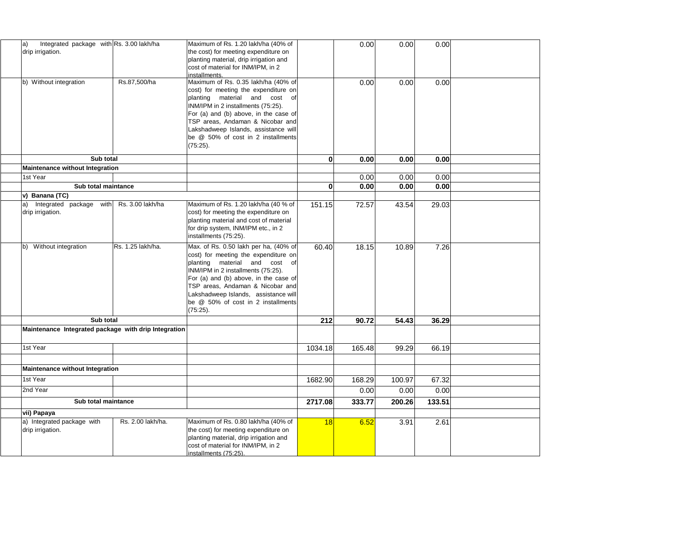| Integrated package with Rs. 3.00 lakh/ha<br>a)<br>drip irrigation. |                   | Maximum of Rs. 1.20 lakh/ha (40% of<br>the cost) for meeting expenditure on<br>planting material, drip irrigation and<br>cost of material for INM/IPM, in 2<br>installments.                                                                                                                                                   |              | 0.00   | 0.00   | 0.00   |  |
|--------------------------------------------------------------------|-------------------|--------------------------------------------------------------------------------------------------------------------------------------------------------------------------------------------------------------------------------------------------------------------------------------------------------------------------------|--------------|--------|--------|--------|--|
| b) Without integration                                             | Rs.87,500/ha      | Maximum of Rs. 0.35 lakh/ha (40% of<br>cost) for meeting the expenditure on<br>planting material and cost of<br>INM/IPM in 2 installments (75:25).<br>For (a) and (b) above, in the case of<br>TSP areas, Andaman & Nicobar and<br>Lakshadweep Islands, assistance will<br>be @ 50% of cost in 2 installments<br>$(75.25)$ .   |              | 0.00   | 0.00   | 0.00   |  |
| Sub total                                                          |                   |                                                                                                                                                                                                                                                                                                                                | $\mathbf{0}$ | 0.00   | 0.00   | 0.00   |  |
| <b>Maintenance without Integration</b>                             |                   |                                                                                                                                                                                                                                                                                                                                |              |        |        |        |  |
| 1st Year                                                           |                   |                                                                                                                                                                                                                                                                                                                                |              | 0.00   | 0.00   | 0.00   |  |
| Sub total maintance                                                |                   |                                                                                                                                                                                                                                                                                                                                | $\mathbf 0$  | 0.00   | 0.00   | 0.00   |  |
| v) Banana (TC)                                                     |                   |                                                                                                                                                                                                                                                                                                                                |              |        |        |        |  |
| Integrated package with<br>a)<br>drip irrigation.                  | Rs. 3.00 lakh/ha  | Maximum of Rs. 1.20 lakh/ha (40 % of<br>cost) for meeting the expenditure on<br>planting material and cost of material<br>for drip system, INM/IPM etc., in 2<br>installments (75:25).                                                                                                                                         | 151.15       | 72.57  | 43.54  | 29.03  |  |
| b) Without integration                                             | Rs. 1.25 lakh/ha. | Max. of Rs. 0.50 lakh per ha, (40% of<br>cost) for meeting the expenditure on<br>planting material and cost of<br>INM/IPM in 2 installments (75:25).<br>For (a) and (b) above, in the case of<br>TSP areas, Andaman & Nicobar and<br>Lakshadweep Islands, assistance will<br>be @ 50% of cost in 2 installments<br>$(75:25)$ . | 60.40        | 18.15  | 10.89  | 7.26   |  |
| Sub total                                                          |                   |                                                                                                                                                                                                                                                                                                                                | 212          | 90.72  | 54.43  | 36.29  |  |
| Maintenance Integrated package with drip Integration               |                   |                                                                                                                                                                                                                                                                                                                                |              |        |        |        |  |
| 1st Year                                                           |                   |                                                                                                                                                                                                                                                                                                                                | 1034.18      | 165.48 | 99.29  | 66.19  |  |
|                                                                    |                   |                                                                                                                                                                                                                                                                                                                                |              |        |        |        |  |
| <b>Maintenance without Integration</b>                             |                   |                                                                                                                                                                                                                                                                                                                                |              |        |        |        |  |
| 1st Year                                                           |                   |                                                                                                                                                                                                                                                                                                                                | 1682.90      | 168.29 | 100.97 | 67.32  |  |
| 2nd Year                                                           |                   |                                                                                                                                                                                                                                                                                                                                |              | 0.00   | 0.00   | 0.00   |  |
| Sub total maintance                                                |                   |                                                                                                                                                                                                                                                                                                                                | 2717.08      | 333.77 | 200.26 | 133.51 |  |
| vii) Papaya                                                        |                   |                                                                                                                                                                                                                                                                                                                                |              |        |        |        |  |
| a) Integrated package with<br>drip irrigation.                     | Rs. 2.00 lakh/ha. | Maximum of Rs. 0.80 lakh/ha (40% of<br>the cost) for meeting expenditure on<br>planting material, drip irrigation and<br>cost of material for INM/IPM, in 2<br>installments (75:25).                                                                                                                                           | 18           | 6.52   | 3.91   | 2.61   |  |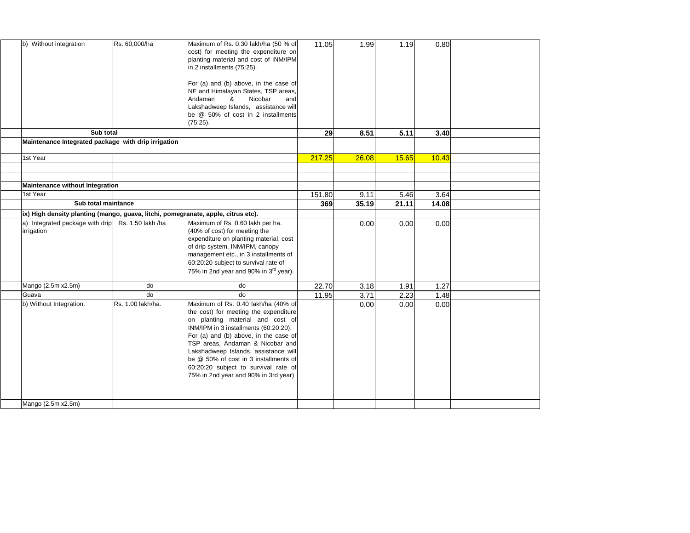| b) Without integration                                                            | Rs. 60,000/ha     | Maximum of Rs. 0.30 lakh/ha (50 % of<br>cost) for meeting the expenditure on<br>planting material and cost of INM/IPM<br>in 2 installments (75:25).<br>For (a) and (b) above, in the case of                                                                                                                                                                                                            | 11.05  | 1.99  | 1.19  | 0.80  |  |
|-----------------------------------------------------------------------------------|-------------------|---------------------------------------------------------------------------------------------------------------------------------------------------------------------------------------------------------------------------------------------------------------------------------------------------------------------------------------------------------------------------------------------------------|--------|-------|-------|-------|--|
|                                                                                   |                   | NE and Himalayan States, TSP areas,<br>Andaman<br>Nicobar<br>&<br>and                                                                                                                                                                                                                                                                                                                                   |        |       |       |       |  |
|                                                                                   |                   | Lakshadweep Islands, assistance will<br>be @ 50% of cost in 2 installments<br>(75:25).                                                                                                                                                                                                                                                                                                                  |        |       |       |       |  |
| Sub total                                                                         |                   |                                                                                                                                                                                                                                                                                                                                                                                                         | 29     | 8.51  | 5.11  | 3.40  |  |
| Maintenance Integrated package with drip irrigation                               |                   |                                                                                                                                                                                                                                                                                                                                                                                                         |        |       |       |       |  |
| 1st Year                                                                          |                   |                                                                                                                                                                                                                                                                                                                                                                                                         | 217.25 | 26.08 | 15.65 | 10.43 |  |
|                                                                                   |                   |                                                                                                                                                                                                                                                                                                                                                                                                         |        |       |       |       |  |
|                                                                                   |                   |                                                                                                                                                                                                                                                                                                                                                                                                         |        |       |       |       |  |
| Maintenance without Integration                                                   |                   |                                                                                                                                                                                                                                                                                                                                                                                                         |        |       |       |       |  |
| 1st Year                                                                          |                   |                                                                                                                                                                                                                                                                                                                                                                                                         | 151.80 | 9.11  | 5.46  | 3.64  |  |
| Sub total maintance                                                               |                   |                                                                                                                                                                                                                                                                                                                                                                                                         | 369    | 35.19 | 21.11 | 14.08 |  |
| ix) High density planting (mango, guava, litchi, pomegranate, apple, citrus etc). |                   |                                                                                                                                                                                                                                                                                                                                                                                                         |        |       |       |       |  |
| a) Integrated package with drip Rs. 1.50 lakh /ha<br>irrigation                   |                   | Maximum of Rs. 0.60 lakh per ha.<br>(40% of cost) for meeting the<br>expenditure on planting material, cost                                                                                                                                                                                                                                                                                             |        | 0.00  | 0.00  | 0.00  |  |
|                                                                                   |                   | of drip system, INM/IPM, canopy<br>management etc., in 3 installments of<br>60:20:20 subject to survival rate of                                                                                                                                                                                                                                                                                        |        |       |       |       |  |
|                                                                                   |                   | 75% in 2nd year and 90% in 3 <sup>rd</sup> year).                                                                                                                                                                                                                                                                                                                                                       |        |       |       |       |  |
| Mango (2.5m x2.5m)                                                                | do                | do                                                                                                                                                                                                                                                                                                                                                                                                      | 22.70  | 3.18  | 1.91  | 1.27  |  |
| Guava                                                                             | do                | do                                                                                                                                                                                                                                                                                                                                                                                                      | 11.95  | 3.71  | 2.23  | 1.48  |  |
| b) Without Integration.                                                           | Rs. 1.00 lakh/ha. | Maximum of Rs. 0.40 lakh/ha (40% of<br>the cost) for meeting the expenditure<br>on planting material and cost of<br>INM/IPM in 3 installments (60:20:20).<br>For (a) and (b) above, in the case of<br>TSP areas, Andaman & Nicobar and<br>Lakshadweep Islands, assistance will<br>be @ 50% of cost in 3 installments of<br>60:20:20 subject to survival rate of<br>75% in 2nd year and 90% in 3rd year) |        | 0.00  | 0.00  | 0.00  |  |
| Mango (2.5m x2.5m)                                                                |                   |                                                                                                                                                                                                                                                                                                                                                                                                         |        |       |       |       |  |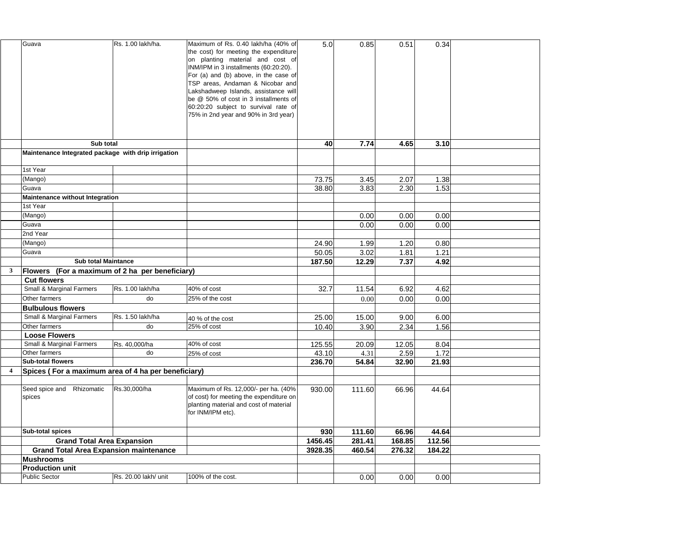|              | Guava                                               | Rs. 1.00 lakh/ha.    | Maximum of Rs. 0.40 lakh/ha (40% of<br>the cost) for meeting the expenditure<br>on planting material and cost of<br>INM/IPM in 3 installments (60:20:20).<br>For (a) and (b) above, in the case of<br>TSP areas, Andaman & Nicobar and<br>Lakshadweep Islands, assistance will<br>be @ 50% of cost in 3 installments of | 5.0     | 0.85   | 0.51   | 0.34   |  |
|--------------|-----------------------------------------------------|----------------------|-------------------------------------------------------------------------------------------------------------------------------------------------------------------------------------------------------------------------------------------------------------------------------------------------------------------------|---------|--------|--------|--------|--|
|              |                                                     |                      | 60:20:20 subject to survival rate of<br>75% in 2nd year and 90% in 3rd year)                                                                                                                                                                                                                                            |         |        |        |        |  |
|              | Sub total                                           |                      |                                                                                                                                                                                                                                                                                                                         | 40      | 7.74   | 4.65   | 3.10   |  |
|              | Maintenance Integrated package with drip irrigation |                      |                                                                                                                                                                                                                                                                                                                         |         |        |        |        |  |
|              |                                                     |                      |                                                                                                                                                                                                                                                                                                                         |         |        |        |        |  |
|              | 1st Year                                            |                      |                                                                                                                                                                                                                                                                                                                         |         |        |        |        |  |
|              | (Mango)                                             |                      |                                                                                                                                                                                                                                                                                                                         | 73.75   | 3.45   | 2.07   | 1.38   |  |
|              | Guava                                               |                      |                                                                                                                                                                                                                                                                                                                         | 38.80   | 3.83   | 2.30   | 1.53   |  |
|              | Maintenance without Integration                     |                      |                                                                                                                                                                                                                                                                                                                         |         |        |        |        |  |
|              | 1st Year                                            |                      |                                                                                                                                                                                                                                                                                                                         |         |        |        |        |  |
|              | (Mango)                                             |                      |                                                                                                                                                                                                                                                                                                                         |         | 0.00   | 0.00   | 0.00   |  |
|              | Guava                                               |                      |                                                                                                                                                                                                                                                                                                                         |         | 0.00   | 0.00   | 0.00   |  |
|              | 2nd Year                                            |                      |                                                                                                                                                                                                                                                                                                                         |         |        |        |        |  |
|              | (Mango)                                             |                      |                                                                                                                                                                                                                                                                                                                         | 24.90   | 1.99   | 1.20   | 0.80   |  |
|              | Guava                                               |                      |                                                                                                                                                                                                                                                                                                                         | 50.05   | 3.02   | 1.81   | 1.21   |  |
|              | <b>Sub total Maintance</b>                          |                      |                                                                                                                                                                                                                                                                                                                         | 187.50  | 12.29  | 7.37   | 4.92   |  |
| $\mathbf{3}$ | Flowers (For a maximum of 2 ha per beneficiary)     |                      |                                                                                                                                                                                                                                                                                                                         |         |        |        |        |  |
|              | <b>Cut flowers</b>                                  |                      |                                                                                                                                                                                                                                                                                                                         |         |        |        |        |  |
|              | Small & Marginal Farmers                            | Rs. 1.00 lakh/ha     | 40% of cost                                                                                                                                                                                                                                                                                                             | 32.7    | 11.54  | 6.92   | 4.62   |  |
|              | Other farmers                                       | do                   | 25% of the cost                                                                                                                                                                                                                                                                                                         |         | 0.00   | 0.00   | 0.00   |  |
|              | <b>Bulbulous flowers</b>                            |                      |                                                                                                                                                                                                                                                                                                                         |         |        |        |        |  |
|              | Small & Marginal Farmers                            | Rs. 1.50 lakh/ha     | 40 % of the cost                                                                                                                                                                                                                                                                                                        | 25.00   | 15.00  | 9.00   | 6.00   |  |
|              | Other farmers                                       | do                   | 25% of cost                                                                                                                                                                                                                                                                                                             | 10.40   | 3.90   | 2.34   | 1.56   |  |
|              | <b>Loose Flowers</b>                                |                      |                                                                                                                                                                                                                                                                                                                         |         |        |        |        |  |
|              | Small & Marginal Farmers                            | Rs. 40,000/ha        | 40% of cost                                                                                                                                                                                                                                                                                                             | 125.55  | 20.09  | 12.05  | 8.04   |  |
|              | Other farmers                                       | do                   | 25% of cost                                                                                                                                                                                                                                                                                                             | 43.10   | 4.31   | 2.59   | 1.72   |  |
|              | <b>Sub-total flowers</b>                            |                      |                                                                                                                                                                                                                                                                                                                         | 236.70  | 54.84  | 32.90  | 21.93  |  |
|              | Spices (For a maximum area of 4 ha per beneficiary) |                      |                                                                                                                                                                                                                                                                                                                         |         |        |        |        |  |
|              |                                                     |                      |                                                                                                                                                                                                                                                                                                                         |         |        |        |        |  |
|              | Seed spice and Rhizomatic<br>spices                 | Rs.30,000/ha         | Maximum of Rs. 12,000/- per ha. (40%<br>of cost) for meeting the expenditure on<br>planting material and cost of material<br>for INM/IPM etc).                                                                                                                                                                          | 930.00  | 111.60 | 66.96  | 44.64  |  |
|              |                                                     |                      |                                                                                                                                                                                                                                                                                                                         |         |        |        |        |  |
|              | Sub-total spices                                    |                      |                                                                                                                                                                                                                                                                                                                         | 930     | 111.60 | 66.96  | 44.64  |  |
|              | <b>Grand Total Area Expansion</b>                   |                      |                                                                                                                                                                                                                                                                                                                         | 1456.45 | 281.41 | 168.85 | 112.56 |  |
|              | <b>Grand Total Area Expansion maintenance</b>       |                      |                                                                                                                                                                                                                                                                                                                         | 3928.35 | 460.54 | 276.32 | 184.22 |  |
|              | <b>Mushrooms</b>                                    |                      |                                                                                                                                                                                                                                                                                                                         |         |        |        |        |  |
|              | <b>Production unit</b>                              |                      |                                                                                                                                                                                                                                                                                                                         |         |        |        |        |  |
|              | <b>Public Sector</b>                                | Rs. 20.00 lakh/ unit | 100% of the cost.                                                                                                                                                                                                                                                                                                       |         | 0.00   | 0.00   | 0.00   |  |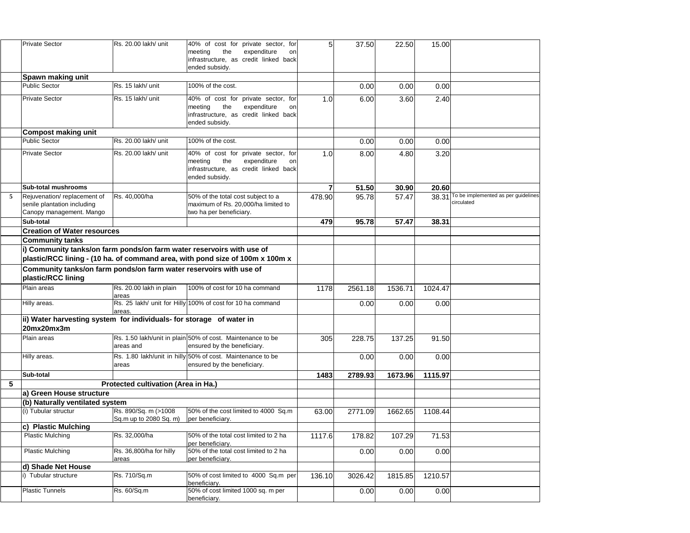|   | <b>Private Sector</b>                                                                    | Rs. 20.00 lakh/ unit                           | 40% of cost for private sector, for<br>expenditure<br>meeting<br>the<br>on<br>infrastructure, as credit linked back<br>ended subsidy. | 5              | 37.50   | 22.50   | 15.00   |                                                         |
|---|------------------------------------------------------------------------------------------|------------------------------------------------|---------------------------------------------------------------------------------------------------------------------------------------|----------------|---------|---------|---------|---------------------------------------------------------|
|   | Spawn making unit                                                                        |                                                |                                                                                                                                       |                |         |         |         |                                                         |
|   | <b>Public Sector</b>                                                                     | Rs. 15 lakh/ unit                              | 100% of the cost.                                                                                                                     |                | 0.00    | 0.00    | 0.00    |                                                         |
|   | <b>Private Sector</b>                                                                    | Rs. 15 lakh/ unit                              | 40% of cost for private sector, for<br>meeting<br>the<br>expenditure<br>on<br>infrastructure, as credit linked back<br>ended subsidy. | 1.0            | 6.00    | 3.60    | 2.40    |                                                         |
|   | <b>Compost making unit</b>                                                               |                                                |                                                                                                                                       |                |         |         |         |                                                         |
|   | <b>Public Sector</b>                                                                     | Rs. 20.00 lakh/ unit                           | 100% of the cost.                                                                                                                     |                | 0.00    | 0.00    | 0.00    |                                                         |
|   | <b>Private Sector</b>                                                                    | Rs. 20.00 lakh/ unit                           | 40% of cost for private sector, for<br>meetina<br>the<br>expenditure<br>on<br>infrastructure, as credit linked back<br>ended subsidy. | 1.0            | 8.00    | 4.80    | 3.20    |                                                         |
|   | Sub-total mushrooms                                                                      |                                                |                                                                                                                                       | $\overline{7}$ | 51.50   | 30.90   | 20.60   |                                                         |
|   | Rejuvenation/replacement of<br>senile plantation including<br>Canopy management. Mango   | Rs. 40,000/ha                                  | 50% of the total cost subject to a<br>maximum of Rs. 20,000/ha limited to<br>two ha per beneficiary.                                  | 478.90         | 95.78   | 57.47   |         | 38.31 To be implemented as per guidelines<br>circulated |
|   | Sub-total                                                                                |                                                |                                                                                                                                       | 479            | 95.78   | 57.47   | 38.31   |                                                         |
|   | <b>Creation of Water resources</b>                                                       |                                                |                                                                                                                                       |                |         |         |         |                                                         |
|   | <b>Community tanks</b>                                                                   |                                                |                                                                                                                                       |                |         |         |         |                                                         |
|   | i) Community tanks/on farm ponds/on farm water reservoirs with use of                    |                                                | plastic/RCC lining - (10 ha. of command area, with pond size of 100m x 100m x                                                         |                |         |         |         |                                                         |
|   | Community tanks/on farm ponds/on farm water reservoirs with use of<br>plastic/RCC lining |                                                |                                                                                                                                       |                |         |         |         |                                                         |
|   | Plain areas                                                                              | Rs. 20.00 lakh in plain<br>areas               | 100% of cost for 10 ha command                                                                                                        | 1178           | 2561.18 | 1536.71 | 1024.47 |                                                         |
|   | Hilly areas.                                                                             | areas.                                         | Rs. 25 lakh/ unit for Hilly 100% of cost for 10 ha command                                                                            |                | 0.00    | 0.00    | 0.00    |                                                         |
|   | ii) Water harvesting system for individuals- for storage of water in<br>20mx20mx3m       |                                                |                                                                                                                                       |                |         |         |         |                                                         |
|   | Plain areas                                                                              | areas and                                      | Rs. 1.50 lakh/unit in plain 50% of cost. Maintenance to be<br>ensured by the beneficiary.                                             | 305            | 228.75  | 137.25  | 91.50   |                                                         |
|   | Hilly areas.                                                                             | areas                                          | Rs. 1.80 lakh/unit in hilly 50% of cost. Maintenance to be<br>ensured by the beneficiary.                                             |                | 0.00    | 0.00    | 0.00    |                                                         |
|   | Sub-total                                                                                |                                                |                                                                                                                                       | 1483           | 2789.93 | 1673.96 | 1115.97 |                                                         |
| 5 |                                                                                          | Protected cultivation (Area in Ha.)            |                                                                                                                                       |                |         |         |         |                                                         |
|   | a) Green House structure                                                                 |                                                |                                                                                                                                       |                |         |         |         |                                                         |
|   | (b) Naturally ventilated system                                                          |                                                |                                                                                                                                       |                |         |         |         |                                                         |
|   | (i) Tubular structur                                                                     | Rs. 890/Sq. m (>1008<br>Sq.m up to 2080 Sq. m) | 50% of the cost limited to 4000 Sq.m<br>per beneficiary.                                                                              | 63.00          | 2771.09 | 1662.65 | 1108.44 |                                                         |
|   | c) Plastic Mulching                                                                      |                                                |                                                                                                                                       |                |         |         |         |                                                         |
|   | <b>Plastic Mulching</b>                                                                  | Rs. 32,000/ha                                  | 50% of the total cost limited to 2 ha<br>per beneficiarv.                                                                             | 1117.6         | 178.82  | 107.29  | 71.53   |                                                         |
|   | <b>Plastic Mulching</b>                                                                  | Rs. 36,800/ha for hilly<br>areas               | 50% of the total cost limited to 2 ha<br>per beneficiary.                                                                             |                | 0.00    | 0.00    | 0.00    |                                                         |
|   | d) Shade Net House                                                                       |                                                |                                                                                                                                       |                |         |         |         |                                                         |
|   | i) Tubular structure                                                                     | Rs. 710/Sq.m                                   | 50% of cost limited to 4000 Sq.m per<br>beneficiary.                                                                                  | 136.10         | 3026.42 | 1815.85 | 1210.57 |                                                         |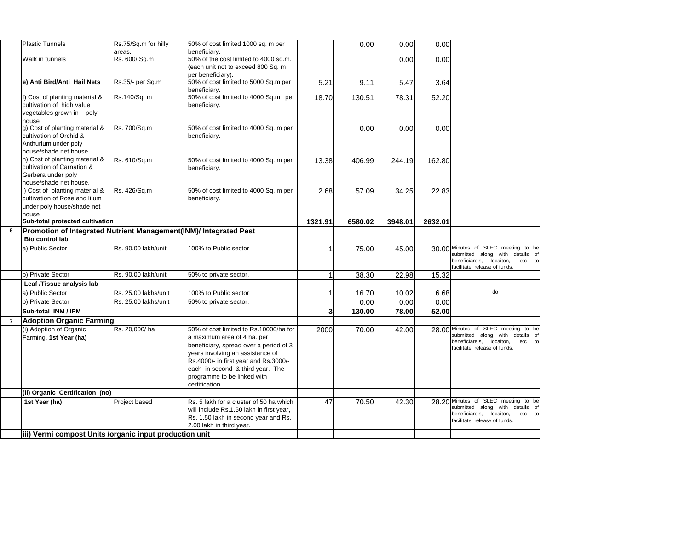| <b>Plastic Tunnels</b>                                            | Rs.75/Sq.m for hilly    | 50% of cost limited 1000 sq. m per                    |                         | 0.00    | 0.00    | 0.00    |                                                                          |
|-------------------------------------------------------------------|-------------------------|-------------------------------------------------------|-------------------------|---------|---------|---------|--------------------------------------------------------------------------|
| Walk in tunnels                                                   | areas.<br>Rs. 600/ Sq.m | beneficiary.<br>50% of the cost limited to 4000 sq.m. |                         |         |         | 0.00    |                                                                          |
|                                                                   |                         | (each unit not to exceed 800 Sq. m                    |                         |         | 0.00    |         |                                                                          |
|                                                                   |                         | per beneficiary).                                     |                         |         |         |         |                                                                          |
| e) Anti Bird/Anti Hail Nets                                       | Rs.35/- per Sq.m        | 50% of cost limited to 5000 Sq.m per                  | 5.21                    | 9.11    | 5.47    | 3.64    |                                                                          |
|                                                                   |                         | beneficiary.                                          |                         |         |         |         |                                                                          |
| f) Cost of planting material &                                    | Rs.140/Sq. m            | 50% of cost limited to 4000 Sq.m per                  | 18.70                   | 130.51  | 78.31   | 52.20   |                                                                          |
| cultivation of high value                                         |                         | beneficiary.                                          |                         |         |         |         |                                                                          |
| vegetables grown in poly                                          |                         |                                                       |                         |         |         |         |                                                                          |
| house<br>g) Cost of planting material &                           | Rs. 700/Sq.m            | 50% of cost limited to 4000 Sq. m per                 |                         | 0.00    | 0.00    | 0.00    |                                                                          |
| cultivation of Orchid &                                           |                         | beneficiary.                                          |                         |         |         |         |                                                                          |
| Anthurium under poly                                              |                         |                                                       |                         |         |         |         |                                                                          |
| house/shade net house.                                            |                         |                                                       |                         |         |         |         |                                                                          |
| h) Cost of planting material &                                    | Rs. 610/Sq.m            | 50% of cost limited to 4000 Sq. m per                 | 13.38                   | 406.99  | 244.19  | 162.80  |                                                                          |
| cultivation of Carnation &                                        |                         | beneficiary.                                          |                         |         |         |         |                                                                          |
| Gerbera under poly                                                |                         |                                                       |                         |         |         |         |                                                                          |
| house/shade net house.                                            |                         |                                                       |                         |         |         |         |                                                                          |
| i) Cost of planting material &                                    | Rs. 426/Sq.m            | 50% of cost limited to 4000 Sq. m per                 | 2.68                    | 57.09   | 34.25   | 22.83   |                                                                          |
| cultivation of Rose and lilum                                     |                         | beneficiary.                                          |                         |         |         |         |                                                                          |
| under poly house/shade net                                        |                         |                                                       |                         |         |         |         |                                                                          |
| house                                                             |                         |                                                       |                         |         |         |         |                                                                          |
| Sub-total protected cultivation                                   |                         |                                                       | 1321.91                 | 6580.02 | 3948.01 | 2632.01 |                                                                          |
| Promotion of Integrated Nutrient Management(INM)/ Integrated Pest |                         |                                                       |                         |         |         |         |                                                                          |
| <b>Bio control lab</b>                                            |                         |                                                       |                         |         |         |         |                                                                          |
| a) Public Sector                                                  | Rs. 90.00 lakh/unit     | 100% to Public sector                                 | 1                       | 75.00   | 45.00   |         | 30.00 Minutes of SLEC meeting to be                                      |
|                                                                   |                         |                                                       |                         |         |         |         | submitted along with details of<br>beneficiareis, locaiton,<br>etc<br>to |
|                                                                   |                         |                                                       |                         |         |         |         | facilitate release of funds.                                             |
| b) Private Sector                                                 | Rs. 90.00 lakh/unit     | 50% to private sector.                                | 1                       | 38.30   | 22.98   | 15.32   |                                                                          |
| Leaf /Tissue analysis lab                                         |                         |                                                       |                         |         |         |         |                                                                          |
| a) Public Sector                                                  | Rs. 25.00 lakhs/unit    | 100% to Public sector                                 | 1                       | 16.70   | 10.02   | 6.68    | do                                                                       |
| b) Private Sector                                                 | Rs. 25.00 lakhs/unit    | 50% to private sector.                                |                         | 0.00    | 0.00    | 0.00    |                                                                          |
| Sub-total INM / IPM                                               |                         |                                                       | $\overline{\mathbf{3}}$ | 130.00  | 78.00   | 52.00   |                                                                          |
| <b>Adoption Organic Farming</b>                                   |                         |                                                       |                         |         |         |         |                                                                          |
| (i) Adoption of Organic                                           | Rs. 20,000/ha           | 50% of cost limited to Rs.10000/ha for                | 2000                    | 70.00   | 42.00   |         | 28.00 Minutes of SLEC meeting to be                                      |
| Farming. 1st Year (ha)                                            |                         | a maximum area of 4 ha. per                           |                         |         |         |         | submitted along with details of                                          |
|                                                                   |                         | beneficiary, spread over a period of 3                |                         |         |         |         | beneficiareis, locaiton,<br>etc to<br>facilitate release of funds.       |
|                                                                   |                         | years involving an assistance of                      |                         |         |         |         |                                                                          |
|                                                                   |                         | Rs.4000/- in first year and Rs.3000/-                 |                         |         |         |         |                                                                          |
|                                                                   |                         | each in second & third year. The                      |                         |         |         |         |                                                                          |
|                                                                   |                         | programme to be linked with                           |                         |         |         |         |                                                                          |
|                                                                   |                         | certification.                                        |                         |         |         |         |                                                                          |
|                                                                   |                         |                                                       |                         |         |         |         |                                                                          |
| (ii) Organic Certification (no)                                   |                         |                                                       |                         |         |         |         |                                                                          |
| 1st Year (ha)                                                     | Project based           | Rs. 5 lakh for a cluster of 50 ha which               | 47                      | 70.50   | 42.30   |         | 28.20 Minutes of SLEC meeting to be                                      |
|                                                                   |                         | will include Rs.1.50 lakh in first year,              |                         |         |         |         | submitted along with details of                                          |
|                                                                   |                         | Rs. 1.50 lakh in second year and Rs.                  |                         |         |         |         | beneficiareis, locaiton,<br>etc to<br>facilitate release of funds.       |
| iii) Vermi compost Units /organic input production unit           |                         | 2.00 lakh in third year.                              |                         |         |         |         |                                                                          |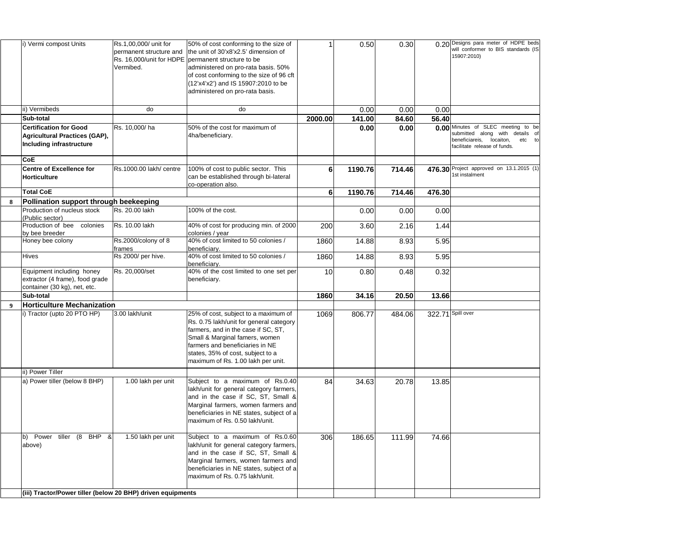|   | i) Vermi compost Units                                                                            | Rs.1,00,000/ unit for<br>permanent structure and<br>Vermibed. | 50% of cost conforming to the size of<br>the unit of 30'x8'x2.5' dimension of<br>Rs. 16,000/unit for HDPE permanent structure to be<br>administered on pro-rata basis. 50%<br>of cost conforming to the size of 96 cft<br>(12'x4'x2') and IS 15907:2010 to be<br>administered on pro-rata basis. |         | 0.50    | 0.30   |        | 0.20 Designs para meter of HDPE beds<br>will conformer to BIS standards (IS<br>15907:2010)                                                        |
|---|---------------------------------------------------------------------------------------------------|---------------------------------------------------------------|--------------------------------------------------------------------------------------------------------------------------------------------------------------------------------------------------------------------------------------------------------------------------------------------------|---------|---------|--------|--------|---------------------------------------------------------------------------------------------------------------------------------------------------|
|   | ii) Vermibeds                                                                                     | do                                                            | do                                                                                                                                                                                                                                                                                               |         | 0.00    | 0.00   | 0.00   |                                                                                                                                                   |
|   | Sub-total                                                                                         |                                                               |                                                                                                                                                                                                                                                                                                  | 2000.00 | 141.00  | 84.60  | 56.40  |                                                                                                                                                   |
|   | <b>Certification for Good</b><br><b>Agricultural Practices (GAP),</b><br>Including infrastructure | Rs. 10,000/ha                                                 | 50% of the cost for maximum of<br>4ha/beneficiary.                                                                                                                                                                                                                                               |         | 0.00    | 0.00   |        | 0.00 Minutes of SLEC meeting to be<br>submitted along with<br>details of<br>beneficiareis,<br>locaiton,<br>etc to<br>facilitate release of funds. |
|   | <b>CoE</b>                                                                                        |                                                               |                                                                                                                                                                                                                                                                                                  |         |         |        |        |                                                                                                                                                   |
|   | <b>Centre of Excellence for</b><br><b>Horticulture</b>                                            | Rs.1000.00 lakh/ centre                                       | 100% of cost to public sector. This<br>can be established through bi-lateral<br>co-operation also.                                                                                                                                                                                               | 6       | 1190.76 | 714.46 |        | 476.30 Project approved on 13.1.2015 (1)<br>1st instalment                                                                                        |
|   | <b>Total CoE</b>                                                                                  |                                                               |                                                                                                                                                                                                                                                                                                  | 6       | 1190.76 | 714.46 | 476.30 |                                                                                                                                                   |
| 8 | Pollination support through beekeeping                                                            |                                                               |                                                                                                                                                                                                                                                                                                  |         |         |        |        |                                                                                                                                                   |
|   | Production of nucleus stock<br>(Public sector)                                                    | Rs. 20.00 lakh                                                | 100% of the cost.                                                                                                                                                                                                                                                                                |         | 0.00    | 0.00   | 0.00   |                                                                                                                                                   |
|   | Production of bee<br>colonies<br>by bee breeder                                                   | Rs. 10.00 lakh                                                | 40% of cost for producing min. of 2000<br>colonies / year                                                                                                                                                                                                                                        | 200     | 3.60    | 2.16   | 1.44   |                                                                                                                                                   |
|   | Honey bee colony                                                                                  | Rs.2000/colony of 8<br>frames                                 | 40% of cost limited to 50 colonies /<br>beneficiarv.                                                                                                                                                                                                                                             | 1860    | 14.88   | 8.93   | 5.95   |                                                                                                                                                   |
|   | Hives                                                                                             | Rs 2000/ per hive.                                            | 40% of cost limited to 50 colonies /<br>beneficiary.                                                                                                                                                                                                                                             | 1860    | 14.88   | 8.93   | 5.95   |                                                                                                                                                   |
|   | Equipment including honey<br>extractor (4 frame), food grade<br>container (30 kg), net, etc.      | Rs. 20,000/set                                                | 40% of the cost limited to one set per<br>beneficiary.                                                                                                                                                                                                                                           | 10      | 0.80    | 0.48   | 0.32   |                                                                                                                                                   |
|   | Sub-total                                                                                         |                                                               |                                                                                                                                                                                                                                                                                                  | 1860    | 34.16   | 20.50  | 13.66  |                                                                                                                                                   |
|   | <b>Horticulture Mechanization</b>                                                                 |                                                               |                                                                                                                                                                                                                                                                                                  |         |         |        |        |                                                                                                                                                   |
|   | i) Tractor (upto 20 PTO HP)                                                                       | 3.00 lakh/unit                                                | 25% of cost, subject to a maximum of<br>Rs. 0.75 lakh/unit for general category<br>farmers, and in the case if SC, ST,<br>Small & Marginal famers, women<br>farmers and beneficiaries in NE<br>states, 35% of cost, subject to a<br>maximum of Rs. 1.00 lakh per unit.                           | 1069    | 806.77  | 484.06 |        | 322.71 Spill over                                                                                                                                 |
|   | ii) Power Tiller                                                                                  |                                                               |                                                                                                                                                                                                                                                                                                  |         |         |        |        |                                                                                                                                                   |
|   | a) Power tiller (below 8 BHP)                                                                     | 1.00 lakh per unit                                            | Subject to a maximum of Rs.0.40<br>lakh/unit for general category farmers,<br>and in the case if SC, ST, Small &<br>Marginal farmers, women farmers and<br>beneficiaries in NE states, subject of a<br>maximum of Rs. 0.50 lakh/unit.                                                            | 84      | 34.63   | 20.78  | 13.85  |                                                                                                                                                   |
|   | Power<br>tiller (8 BHP &<br>b)<br>above)                                                          | 1.50 lakh per unit                                            | Subject to a maximum of Rs.0.60<br>lakh/unit for general category farmers,<br>and in the case if SC, ST, Small &<br>Marginal farmers, women farmers and<br>beneficiaries in NE states, subject of a<br>maximum of Rs. 0.75 lakh/unit.                                                            | 306     | 186.65  | 111.99 | 74.66  |                                                                                                                                                   |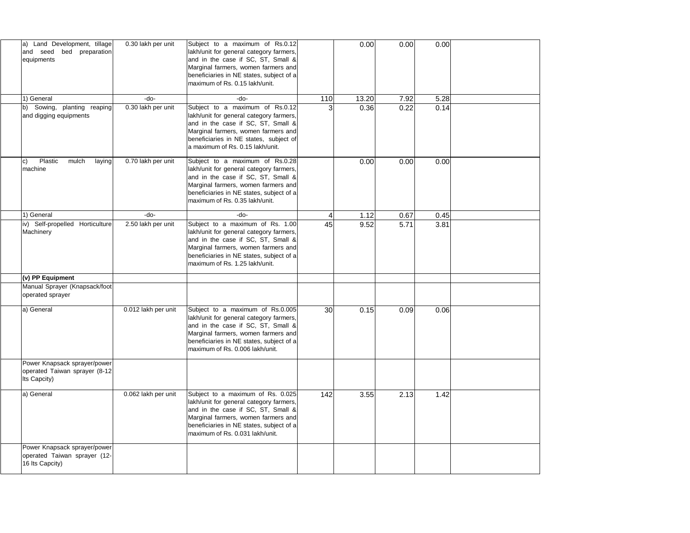| a) Land Development, tillage<br>and seed bed preparation<br>equipments          | 0.30 lakh per unit  | Subject to a maximum of Rs.0.12<br>lakh/unit for general category farmers,<br>and in the case if SC, ST, Small &<br>Marginal farmers, women farmers and<br>beneficiaries in NE states, subject of a<br>maximum of Rs. 0.15 lakh/unit.    |                | 0.00  | 0.00 | 0.00 |  |
|---------------------------------------------------------------------------------|---------------------|------------------------------------------------------------------------------------------------------------------------------------------------------------------------------------------------------------------------------------------|----------------|-------|------|------|--|
| 1) General                                                                      | -do-                | -do-                                                                                                                                                                                                                                     | 110            | 13.20 | 7.92 | 5.28 |  |
| b) Sowing, planting reaping<br>and digging equipments                           | 0.30 lakh per unit  | Subject to a maximum of Rs.0.12<br>lakh/unit for general category farmers,<br>and in the case if SC, ST, Small &<br>Marginal farmers, women farmers and<br>beneficiaries in NE states, subject of<br>a maximum of Rs. 0.15 lakh/unit.    | 3              | 0.36  | 0.22 | 0.14 |  |
| Plastic<br>mulch<br>laying<br>c)<br>machine                                     | 0.70 lakh per unit  | Subject to a maximum of Rs.0.28<br>lakh/unit for general category farmers,<br>and in the case if SC, ST, Small &<br>Marginal farmers, women farmers and<br>beneficiaries in NE states, subject of a<br>maximum of Rs. 0.35 lakh/unit.    |                | 0.00  | 0.00 | 0.00 |  |
| 1) General                                                                      | -do-                | -do-                                                                                                                                                                                                                                     | $\overline{4}$ | 1.12  | 0.67 | 0.45 |  |
| iv) Self-propelled Horticulture<br>Machinery                                    | 2.50 lakh per unit  | Subject to a maximum of Rs. 1.00<br>lakh/unit for general category farmers,<br>and in the case if SC, ST, Small &<br>Marginal farmers, women farmers and<br>beneficiaries in NE states, subject of a<br>maximum of Rs. 1.25 lakh/unit.   | 45             | 9.52  | 5.71 | 3.81 |  |
| (v) PP Equipment                                                                |                     |                                                                                                                                                                                                                                          |                |       |      |      |  |
| Manual Sprayer (Knapsack/foot<br>operated sprayer                               |                     |                                                                                                                                                                                                                                          |                |       |      |      |  |
| a) General                                                                      | 0.012 lakh per unit | Subject to a maximum of Rs.0.005<br>lakh/unit for general category farmers,<br>and in the case if SC, ST, Small &<br>Marginal farmers, women farmers and<br>beneficiaries in NE states, subject of a<br>maximum of Rs. 0.006 lakh/unit.  | 30             | 0.15  | 0.09 | 0.06 |  |
| Power Knapsack sprayer/power<br>operated Taiwan sprayer (8-12<br>Its Capcity)   |                     |                                                                                                                                                                                                                                          |                |       |      |      |  |
| a) General                                                                      | 0.062 lakh per unit | Subject to a maximum of Rs. 0.025<br>lakh/unit for general category farmers,<br>and in the case if SC, ST, Small &<br>Marginal farmers, women farmers and<br>beneficiaries in NE states, subject of a<br>maximum of Rs. 0.031 lakh/unit. | 142            | 3.55  | 2.13 | 1.42 |  |
| Power Knapsack sprayer/power<br>operated Taiwan sprayer (12-<br>16 Its Capcity) |                     |                                                                                                                                                                                                                                          |                |       |      |      |  |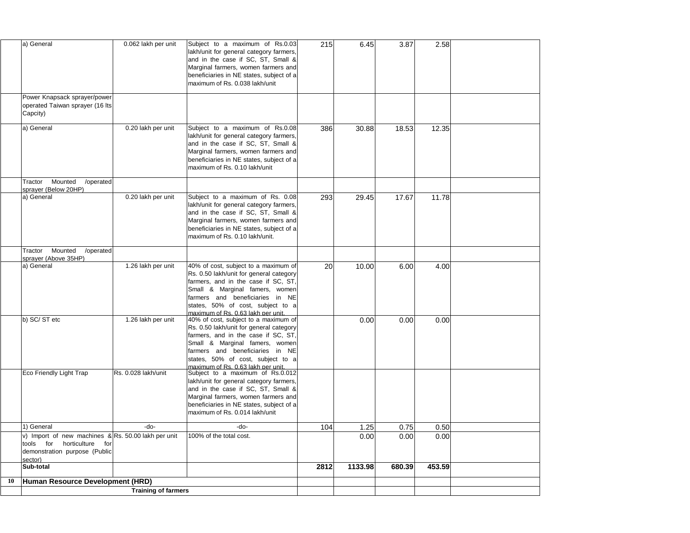| a) General                                                                                                                          | 0.062 lakh per unit | Subject to a maximum of Rs.0.03<br>lakh/unit for general category farmers,<br>and in the case if SC, ST, Small &<br>Marginal farmers, women farmers and<br>beneficiaries in NE states, subject of a<br>maximum of Rs. 0.038 lakh/unit                                  | 215  | 6.45    | 3.87   | 2.58   |  |
|-------------------------------------------------------------------------------------------------------------------------------------|---------------------|------------------------------------------------------------------------------------------------------------------------------------------------------------------------------------------------------------------------------------------------------------------------|------|---------|--------|--------|--|
| Power Knapsack sprayer/power<br>operated Taiwan sprayer (16 lts<br>Capcity)                                                         |                     |                                                                                                                                                                                                                                                                        |      |         |        |        |  |
| a) General                                                                                                                          | 0.20 lakh per unit  | Subject to a maximum of Rs.0.08<br>lakh/unit for general category farmers,<br>and in the case if SC, ST, Small &<br>Marginal farmers, women farmers and<br>beneficiaries in NE states, subject of a<br>maximum of Rs. 0.10 lakh/unit                                   | 386  | 30.88   | 18.53  | 12.35  |  |
| Mounted<br>/operated<br>Tractor<br>sprayer (Below 20HP)                                                                             |                     |                                                                                                                                                                                                                                                                        |      |         |        |        |  |
| a) General                                                                                                                          | 0.20 lakh per unit  | Subject to a maximum of Rs. 0.08<br>lakh/unit for general category farmers,<br>and in the case if SC, ST, Small &<br>Marginal farmers, women farmers and<br>beneficiaries in NE states, subject of a<br>maximum of Rs. 0.10 lakh/unit.                                 | 293  | 29.45   | 17.67  | 11.78  |  |
| Mounted<br>/operated<br>Tractor                                                                                                     |                     |                                                                                                                                                                                                                                                                        |      |         |        |        |  |
| sprayer (Above 35HP)<br>a) General                                                                                                  | 1.26 lakh per unit  | 40% of cost, subject to a maximum of<br>Rs. 0.50 lakh/unit for general category<br>farmers, and in the case if SC, ST,<br>Small & Marginal famers, women<br>farmers and beneficiaries in NE<br>states, 50% of cost, subject to a<br>maximum of Rs. 0.63 lakh per unit. | 20   | 10.00   | 6.00   | 4.00   |  |
| b) SC/ST etc                                                                                                                        | 1.26 lakh per unit  | 40% of cost, subject to a maximum of<br>Rs. 0.50 lakh/unit for general category<br>farmers, and in the case if SC, ST,<br>Small & Marginal famers, women<br>farmers and beneficiaries in NE<br>states, 50% of cost, subject to a<br>maximum of Rs. 0.63 lakh per unit. |      | 0.00    | 0.00   | 0.00   |  |
| Eco Friendly Light Trap                                                                                                             | Rs. 0.028 lakh/unit | Subject to a maximum of Rs.0.012<br>lakh/unit for general category farmers,<br>and in the case if SC, ST, Small &<br>Marginal farmers, women farmers and<br>beneficiaries in NE states, subject of a<br>maximum of Rs. 0.014 lakh/unit                                 |      |         |        |        |  |
| 1) General                                                                                                                          | $-do-$              | $-do-$                                                                                                                                                                                                                                                                 | 104  | 1.25    | 0.75   | 0.50   |  |
| v) Import of new machines & Rs. 50.00 lakh per unit<br>horticulture<br>tools for<br>for<br>demonstration purpose (Public<br>sector) |                     | 100% of the total cost.                                                                                                                                                                                                                                                |      | 0.00    | 0.00   | 0.00   |  |
| Sub-total                                                                                                                           |                     |                                                                                                                                                                                                                                                                        | 2812 | 1133.98 | 680.39 | 453.59 |  |
| 10 Human Resource Development (HRD)                                                                                                 |                     |                                                                                                                                                                                                                                                                        |      |         |        |        |  |
|                                                                                                                                     |                     |                                                                                                                                                                                                                                                                        |      |         |        |        |  |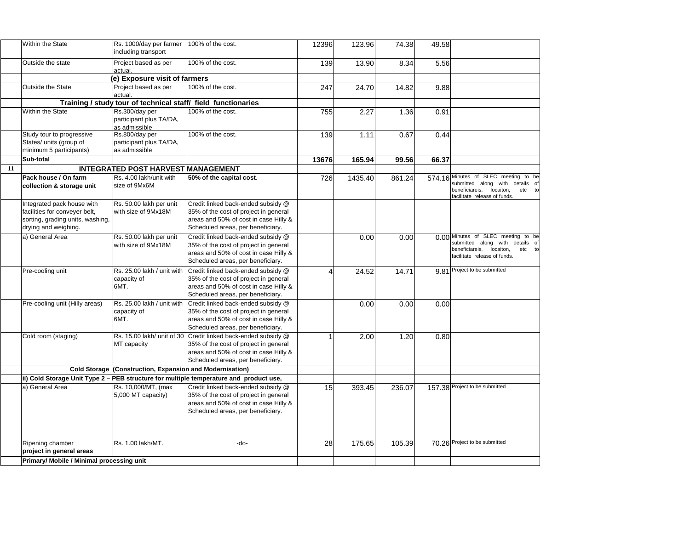|    | Within the State                                                                                                        | Rs. 1000/day per farmer<br>including transport                | 100% of the cost.                                                                                                                                         | 12396          | 123.96  | 74.38  | 49.58  |                                                                                                                                                |
|----|-------------------------------------------------------------------------------------------------------------------------|---------------------------------------------------------------|-----------------------------------------------------------------------------------------------------------------------------------------------------------|----------------|---------|--------|--------|------------------------------------------------------------------------------------------------------------------------------------------------|
|    | Outside the state                                                                                                       | Project based as per<br>actual.                               | 100% of the cost.                                                                                                                                         | 139            | 13.90   | 8.34   | 5.56   |                                                                                                                                                |
|    |                                                                                                                         | (e) Exposure visit of farmers                                 |                                                                                                                                                           |                |         |        |        |                                                                                                                                                |
|    | <b>Outside the State</b>                                                                                                | Project based as per<br>actual.                               | 100% of the cost.                                                                                                                                         | 247            | 24.70   | 14.82  | 9.88   |                                                                                                                                                |
|    |                                                                                                                         | Training / study tour of technical staff/ field functionaries |                                                                                                                                                           |                |         |        |        |                                                                                                                                                |
|    | Within the State                                                                                                        | Rs.300/day per<br>participant plus TA/DA,<br>as admissible    | 100% of the cost.                                                                                                                                         | 755            | 2.27    | 1.36   | 0.91   |                                                                                                                                                |
|    | Study tour to progressive<br>States/ units (group of<br>minimum 5 participants)                                         | Rs.800/day per<br>participant plus TA/DA,<br>as admissible    | 100% of the cost.                                                                                                                                         | 139            | 1.11    | 0.67   | 0.44   |                                                                                                                                                |
|    | Sub-total                                                                                                               |                                                               |                                                                                                                                                           | 13676          | 165.94  | 99.56  | 66.37  |                                                                                                                                                |
| 11 |                                                                                                                         | <b>INTEGRATED POST HARVEST MANAGEMENT</b>                     |                                                                                                                                                           |                |         |        |        |                                                                                                                                                |
|    | Pack house / On farm<br>collection & storage unit                                                                       | Rs. 4.00 lakh/unit with<br>size of 9Mx6M                      | 50% of the capital cost.                                                                                                                                  | 726            | 1435.40 | 861.24 | 574.16 | Minutes of SLEC meeting to be<br>submitted along with details of<br>beneficiareis,<br>locaiton,<br>etc to<br>acilitate release of funds.       |
|    | Integrated pack house with<br>facilities for conveyer belt,<br>sorting, grading units, washing,<br>drying and weighing. | Rs. 50.00 lakh per unit<br>with size of 9Mx18M                | Credit linked back-ended subsidy @<br>35% of the cost of project in general<br>areas and 50% of cost in case Hilly &<br>Scheduled areas, per beneficiary. |                |         |        |        |                                                                                                                                                |
|    | a) General Area                                                                                                         | Rs. 50.00 lakh per unit<br>with size of 9Mx18M                | Credit linked back-ended subsidy @<br>35% of the cost of project in general<br>areas and 50% of cost in case Hilly &<br>Scheduled areas, per beneficiary. |                | 0.00    | 0.00   |        | 0.00 Minutes of SLEC meeting to be<br>submitted along with details of<br>beneficiareis,<br>locaiton,<br>etc to<br>facilitate release of funds. |
|    | Pre-cooling unit                                                                                                        | Rs. 25.00 lakh / unit with<br>capacity of<br>6MT.             | Credit linked back-ended subsidy @<br>35% of the cost of project in general<br>areas and 50% of cost in case Hilly &<br>Scheduled areas, per beneficiary. | $\overline{4}$ | 24.52   | 14.71  |        | 9.81 Project to be submitted                                                                                                                   |
|    | Pre-cooling unit (Hilly areas)                                                                                          | Rs. 25.00 lakh / unit with<br>capacity of<br>6MT.             | Credit linked back-ended subsidy @<br>35% of the cost of project in general<br>areas and 50% of cost in case Hilly &<br>Scheduled areas, per beneficiary. |                | 0.00    | 0.00   | 0.00   |                                                                                                                                                |
|    | Cold room (staging)                                                                                                     | Rs. 15.00 lakh/ unit of 30<br>MT capacity                     | Credit linked back-ended subsidy @<br>35% of the cost of project in general<br>areas and 50% of cost in case Hilly &<br>Scheduled areas, per beneficiary. |                | 2.00    | 1.20   | 0.80   |                                                                                                                                                |
|    |                                                                                                                         | Cold Storage (Construction, Expansion and Modernisation)      |                                                                                                                                                           |                |         |        |        |                                                                                                                                                |
|    |                                                                                                                         |                                                               | ii) Cold Storage Unit Type 2 - PEB structure for multiple temperature and product use,                                                                    |                |         |        |        |                                                                                                                                                |
|    | a) General Area                                                                                                         | Rs. 10,000/MT, (max<br>5,000 MT capacity)                     | Credit linked back-ended subsidy @<br>35% of the cost of project in general<br>areas and 50% of cost in case Hilly &<br>Scheduled areas, per beneficiary. | 15             | 393.45  | 236.07 |        | 157.38 Project to be submitted                                                                                                                 |
|    | Ripening chamber                                                                                                        | Rs. 1.00 lakh/MT.                                             | -do-                                                                                                                                                      | 28             | 175.65  | 105.39 |        | 70.26 Project to be submitted                                                                                                                  |
|    | project in general areas                                                                                                |                                                               |                                                                                                                                                           |                |         |        |        |                                                                                                                                                |
|    | Primary/ Mobile / Minimal processing unit                                                                               |                                                               |                                                                                                                                                           |                |         |        |        |                                                                                                                                                |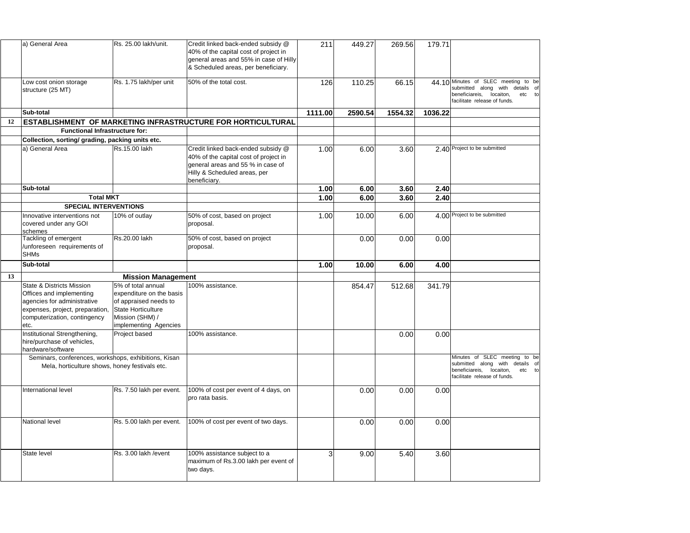|    | a) General Area                                                                                                                                         | Rs. 25.00 lakh/unit.                                                                                             | Credit linked back-ended subsidy @<br>40% of the capital cost of project in<br>general areas and 55% in case of Hilly<br>& Scheduled areas, per beneficiary.     | 211     | 449.27  | 269.56  | 179.71  |                                                                                                                                              |
|----|---------------------------------------------------------------------------------------------------------------------------------------------------------|------------------------------------------------------------------------------------------------------------------|------------------------------------------------------------------------------------------------------------------------------------------------------------------|---------|---------|---------|---------|----------------------------------------------------------------------------------------------------------------------------------------------|
|    | Low cost onion storage<br>structure (25 MT)                                                                                                             | Rs. 1.75 lakh/per unit                                                                                           | 50% of the total cost.                                                                                                                                           | 126     | 110.25  | 66.15   |         | 44.10 Minutes of SLEC meeting to be<br>submitted along with details of<br>beneficiareis, locaiton,<br>etc to<br>facilitate release of funds. |
|    | Sub-total                                                                                                                                               |                                                                                                                  |                                                                                                                                                                  | 1111.00 | 2590.54 | 1554.32 | 1036.22 |                                                                                                                                              |
| 12 |                                                                                                                                                         |                                                                                                                  | ESTABLISHMENT OF MARKETING INFRASTRUCTURE FOR HORTICULTURAL                                                                                                      |         |         |         |         |                                                                                                                                              |
|    | <b>Functional Infrastructure for:</b>                                                                                                                   |                                                                                                                  |                                                                                                                                                                  |         |         |         |         |                                                                                                                                              |
|    | Collection, sorting/ grading, packing units etc.                                                                                                        |                                                                                                                  |                                                                                                                                                                  |         |         |         |         |                                                                                                                                              |
|    | a) General Area                                                                                                                                         | Rs.15.00 lakh                                                                                                    | Credit linked back-ended subsidy @<br>40% of the capital cost of project in<br>general areas and 55 % in case of<br>Hilly & Scheduled areas, per<br>beneficiary. | 1.00    | 6.00    | 3.60    |         | 2.40 Project to be submitted                                                                                                                 |
|    | Sub-total                                                                                                                                               |                                                                                                                  |                                                                                                                                                                  | 1.00    | 6.00    | 3.60    | 2.40    |                                                                                                                                              |
|    | <b>Total MKT</b>                                                                                                                                        |                                                                                                                  |                                                                                                                                                                  | 1.00    | 6.00    | 3.60    | 2.40    |                                                                                                                                              |
|    | <b>SPECIAL INTERVENTIONS</b>                                                                                                                            |                                                                                                                  |                                                                                                                                                                  |         |         |         |         |                                                                                                                                              |
|    | Innovative interventions not<br>covered under any GOI<br>schemes                                                                                        | 10% of outlay                                                                                                    | 50% of cost, based on project<br>proposal.                                                                                                                       | 1.00    | 10.00   | 6.00    |         | 4.00 Project to be submitted                                                                                                                 |
|    | Tackling of emergent<br>/unforeseen requirements of<br><b>SHMs</b>                                                                                      | Rs.20.00 lakh                                                                                                    | 50% of cost, based on project<br>proposal.                                                                                                                       |         | 0.00    | 0.00    | 0.00    |                                                                                                                                              |
|    | Sub-total                                                                                                                                               |                                                                                                                  |                                                                                                                                                                  | 1.00    | 10.00   | 6.00    | 4.00    |                                                                                                                                              |
| 13 |                                                                                                                                                         | <b>Mission Management</b>                                                                                        |                                                                                                                                                                  |         |         |         |         |                                                                                                                                              |
|    | State & Districts Mission<br>Offices and implementing<br>agencies for administrative<br>expenses, project, preparation,<br>computerization, contingency | 5% of total annual<br>expenditure on the basis<br>of appraised needs to<br>State Horticulture<br>Mission (SHM) / | 100% assistance.                                                                                                                                                 |         | 854.47  | 512.68  | 341.79  |                                                                                                                                              |
|    | etc.                                                                                                                                                    | implementing Agencies                                                                                            |                                                                                                                                                                  |         |         |         |         |                                                                                                                                              |
|    | Institutional Strengthening,<br>hire/purchase of vehicles,<br>hardware/software                                                                         | Project based                                                                                                    | 100% assistance.                                                                                                                                                 |         |         | 0.00    | 0.00    |                                                                                                                                              |
|    | Seminars, conferences, workshops, exhibitions, Kisan<br>Mela, horticulture shows, honey festivals etc.                                                  |                                                                                                                  |                                                                                                                                                                  |         |         |         |         | Minutes of SLEC meeting to be<br>submitted along with details of<br>beneficiareis,<br>locaiton,<br>etc to<br>facilitate release of funds.    |
|    | International level                                                                                                                                     | Rs. 7.50 lakh per event.                                                                                         | 100% of cost per event of 4 days, on<br>pro rata basis.                                                                                                          |         | 0.00    | 0.00    | 0.00    |                                                                                                                                              |
|    | National level                                                                                                                                          | Rs. 5.00 lakh per event.                                                                                         | 100% of cost per event of two days.                                                                                                                              |         | 0.00    | 0.00    | 0.00    |                                                                                                                                              |
|    | State level                                                                                                                                             | Rs. 3.00 lakh / event                                                                                            | 100% assistance subject to a<br>maximum of Rs.3.00 lakh per event of<br>two days.                                                                                | 3       | 9.00    | 5.40    | 3.60    |                                                                                                                                              |